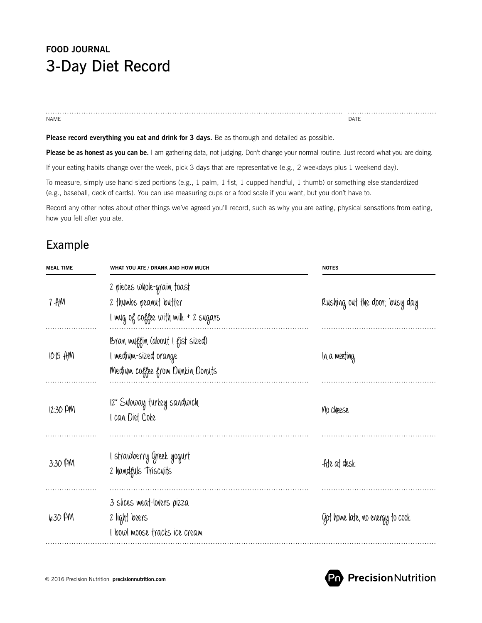# **FOOD JOURNAL** 3-Day Diet Record

name and the contract of the contract of the contract of the contract of the contract of the contract of the contract of the contract of the contract of the contract of the contract of the contract of the contract of the c

Please record everything you eat and drink for 3 days. Be as thorough and detailed as possible.

**Please be as honest as you can be.** I am gathering data, not judging. Don't change your normal routine. Just record what you are doing.

If your eating habits change over the week, pick 3 days that are representative (e.g., 2 weekdays plus 1 weekend day).

To measure, simply use hand-sized portions (e.g., 1 palm, 1 fist, 1 cupped handful, 1 thumb) or something else standardized (e.g., baseball, deck of cards). You can use measuring cups or a food scale if you want, but you don't have to.

Record any other notes about other things we've agreed you'll record, such as why you are eating, physical sensations from eating, how you felt after you ate.

### Example

| <b>MEAL TIME</b> | WHAT YOU ATE / DRANK AND HOW MUCH                                                             | <b>NOTES</b>                     |
|------------------|-----------------------------------------------------------------------------------------------|----------------------------------|
| 7 AM             | 2 pieces whole-grain toast<br>2 thumbs peanut butter<br>I mug of coffee with milk + 2 sugars  | Rushing out the door; busy day   |
| 10.15 AM         | Bran muffin (about I fist sized)<br>I medium-sized orange<br>Medium coffee from Dunkin Donuts | In a meeting                     |
| $12:30$ PM       | 12" Subway turkey sandwich<br>I can Diet Coke                                                 | <b>No cheese</b>                 |
| 3:30 PM          | I strawberry Greek yogurt<br>2 handfuls Triscuits                                             | Ate at desk                      |
| 6:30 PM          | 3 slices meat-lovers pizza<br>2 light beers<br>I bowl moose tracks ice cream                  | Got home late, no energy to cook |

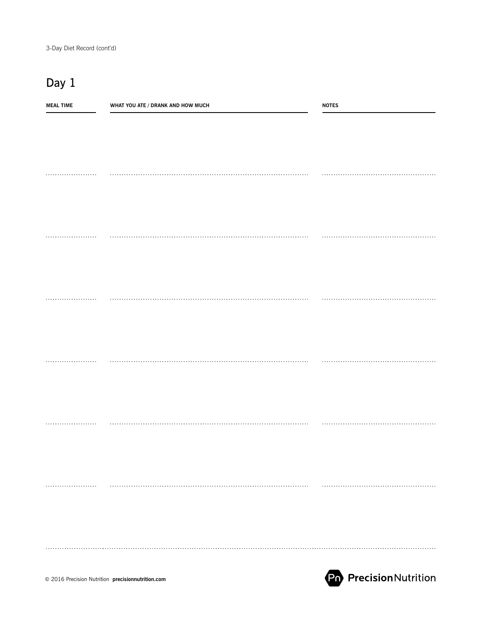## Day 1

| <b>MEAL TIME</b> | WHAT YOU ATE / DRANK AND HOW MUCH | <b>NOTES</b> |
|------------------|-----------------------------------|--------------|
|                  |                                   |              |
|                  |                                   |              |
|                  |                                   |              |
|                  |                                   |              |
|                  |                                   |              |
|                  |                                   |              |
|                  |                                   |              |
|                  |                                   |              |
|                  |                                   |              |
|                  |                                   |              |
|                  |                                   |              |
|                  |                                   |              |
|                  |                                   |              |
|                  |                                   |              |
|                  |                                   |              |
|                  |                                   |              |
|                  |                                   |              |
|                  |                                   |              |
|                  |                                   |              |
|                  |                                   |              |
|                  |                                   |              |
|                  |                                   |              |
|                  |                                   |              |
|                  |                                   |              |
|                  |                                   |              |
|                  |                                   |              |
|                  |                                   |              |
|                  |                                   |              |
|                  |                                   |              |
|                  |                                   |              |
|                  |                                   |              |
|                  |                                   |              |
|                  |                                   |              |
|                  |                                   |              |
|                  |                                   |              |
|                  |                                   |              |
|                  |                                   |              |

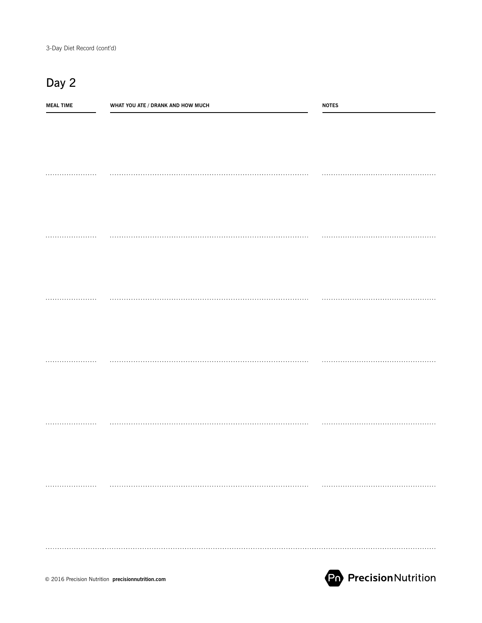## Day 2

| <b>MEAL TIME</b> | WHAT YOU ATE / DRANK AND HOW MUCH | <b>NOTES</b> |
|------------------|-----------------------------------|--------------|
|                  |                                   |              |
|                  |                                   |              |
|                  |                                   |              |
|                  |                                   |              |
|                  |                                   |              |
|                  |                                   |              |
|                  |                                   |              |
|                  |                                   |              |
|                  |                                   |              |
|                  |                                   |              |
|                  |                                   |              |
|                  |                                   |              |
|                  |                                   |              |
|                  |                                   |              |
|                  |                                   |              |
|                  |                                   |              |
|                  |                                   |              |
|                  |                                   |              |
|                  |                                   |              |
|                  |                                   |              |
|                  |                                   |              |
|                  |                                   |              |
|                  |                                   |              |
|                  |                                   |              |
|                  |                                   |              |
|                  |                                   |              |
|                  |                                   |              |
|                  |                                   |              |
|                  |                                   |              |
|                  |                                   |              |
|                  |                                   |              |
|                  |                                   |              |